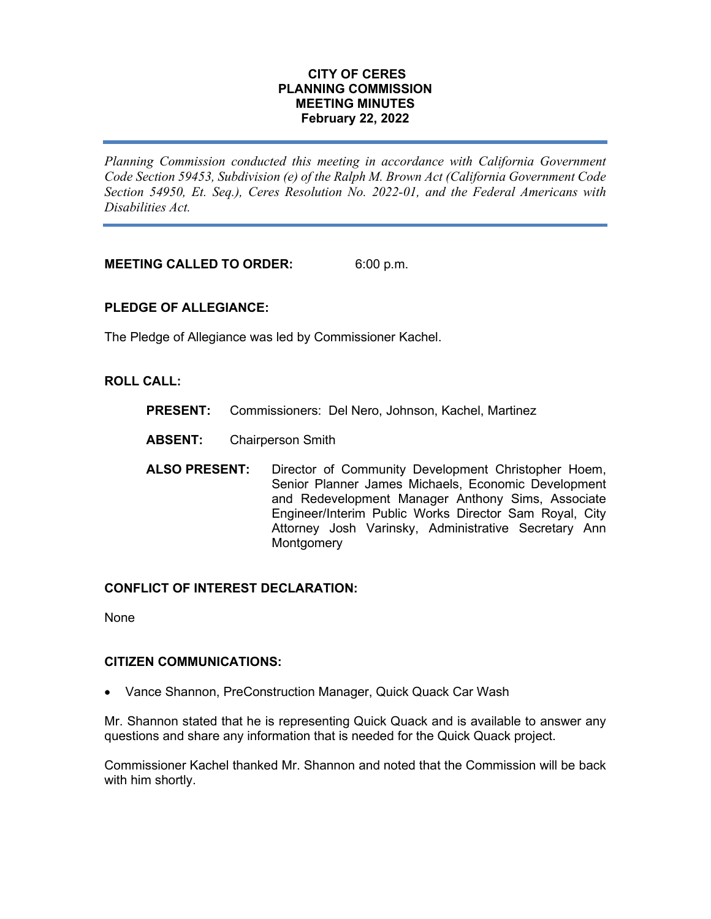### **CITY OF CERES PLANNING COMMISSION MEETING MINUTES February 22, 2022**

*Planning Commission conducted this meeting in accordance with California Government Code Section 59453, Subdivision (e) of the Ralph M. Brown Act (California Government Code Section 54950, Et. Seq.), Ceres Resolution No. 2022-01, and the Federal Americans with Disabilities Act.*

**MEETING CALLED TO ORDER:** 6:00 p.m.

# **PLEDGE OF ALLEGIANCE:**

The Pledge of Allegiance was led by Commissioner Kachel.

### **ROLL CALL:**

- **PRESENT:** Commissioners: Del Nero, Johnson, Kachel, Martinez
- **ABSENT:** Chairperson Smith
- **ALSO PRESENT:** Director of Community Development Christopher Hoem, Senior Planner James Michaels, Economic Development and Redevelopment Manager Anthony Sims, Associate Engineer/Interim Public Works Director Sam Royal, City Attorney Josh Varinsky, Administrative Secretary Ann **Montgomery**

# **CONFLICT OF INTEREST DECLARATION:**

None

#### **CITIZEN COMMUNICATIONS:**

• Vance Shannon, PreConstruction Manager, Quick Quack Car Wash

Mr. Shannon stated that he is representing Quick Quack and is available to answer any questions and share any information that is needed for the Quick Quack project.

Commissioner Kachel thanked Mr. Shannon and noted that the Commission will be back with him shortly.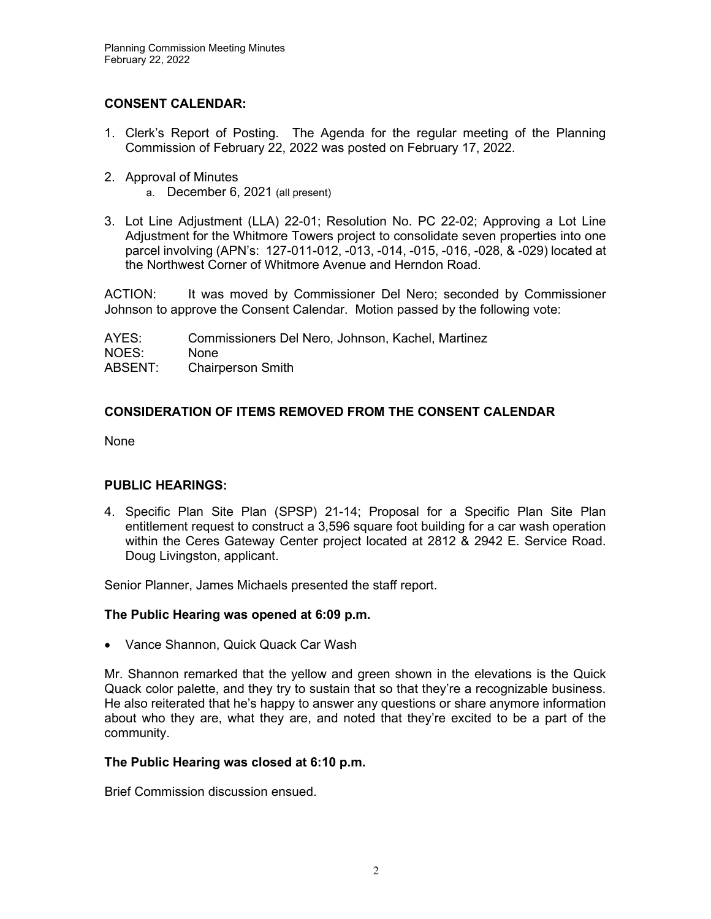# **CONSENT CALENDAR:**

- 1. Clerk's Report of Posting. The Agenda for the regular meeting of the Planning Commission of February 22, 2022 was posted on February 17, 2022.
- 2. Approval of Minutes
	- a. December 6, 2021 (all present)
- 3. Lot Line Adjustment (LLA) 22-01; Resolution No. PC 22-02; Approving a Lot Line Adjustment for the Whitmore Towers project to consolidate seven properties into one parcel involving (APN's: 127-011-012, -013, -014, -015, -016, -028, & -029) located at the Northwest Corner of Whitmore Avenue and Herndon Road.

ACTION: It was moved by Commissioner Del Nero; seconded by Commissioner Johnson to approve the Consent Calendar. Motion passed by the following vote:

AYES: Commissioners Del Nero, Johnson, Kachel, Martinez NOES: None ABSENT: Chairperson Smith

# **CONSIDERATION OF ITEMS REMOVED FROM THE CONSENT CALENDAR**

None

# **PUBLIC HEARINGS:**

4. Specific Plan Site Plan (SPSP) 21-14; Proposal for a Specific Plan Site Plan entitlement request to construct a 3,596 square foot building for a car wash operation within the Ceres Gateway Center project located at 2812 & 2942 E. Service Road. Doug Livingston, applicant.

Senior Planner, James Michaels presented the staff report.

# **The Public Hearing was opened at 6:09 p.m.**

• Vance Shannon, Quick Quack Car Wash

Mr. Shannon remarked that the yellow and green shown in the elevations is the Quick Quack color palette, and they try to sustain that so that they're a recognizable business. He also reiterated that he's happy to answer any questions or share anymore information about who they are, what they are, and noted that they're excited to be a part of the community.

# **The Public Hearing was closed at 6:10 p.m.**

Brief Commission discussion ensued.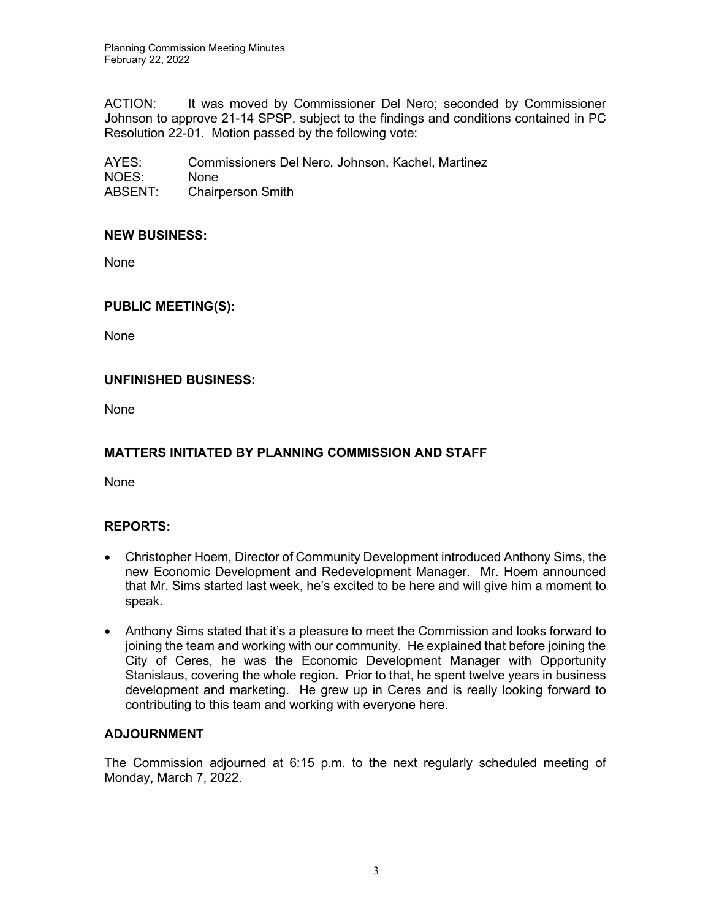Planning Commission Meeting Minutes February 22, 2022

ACTION: It was moved by Commissioner Del Nero; seconded by Commissioner Johnson to approve 21-14 SPSP, subject to the findings and conditions contained in PC Resolution 22-01. Motion passed by the following vote:

AYES: Commissioners Del Nero, Johnson, Kachel, Martinez NOES: None<br>ABSENT: Chairr Chairperson Smith

### **NEW BUSINESS:**

None

### **PUBLIC MEETING(S):**

None

### **UNFINISHED BUSINESS:**

None

# **MATTERS INITIATED BY PLANNING COMMISSION AND STAFF**

None

#### **REPORTS:**

- Christopher Hoem, Director of Community Development introduced Anthony Sims, the new Economic Development and Redevelopment Manager. Mr. Hoem announced that Mr. Sims started last week, he's excited to be here and will give him a moment to speak.
- Anthony Sims stated that it's a pleasure to meet the Commission and looks forward to joining the team and working with our community. He explained that before joining the City of Ceres, he was the Economic Development Manager with Opportunity Stanislaus, covering the whole region. Prior to that, he spent twelve years in business development and marketing. He grew up in Ceres and is really looking forward to contributing to this team and working with everyone here.

#### **ADJOURNMENT**

The Commission adjourned at 6:15 p.m. to the next regularly scheduled meeting of Monday, March 7, 2022.